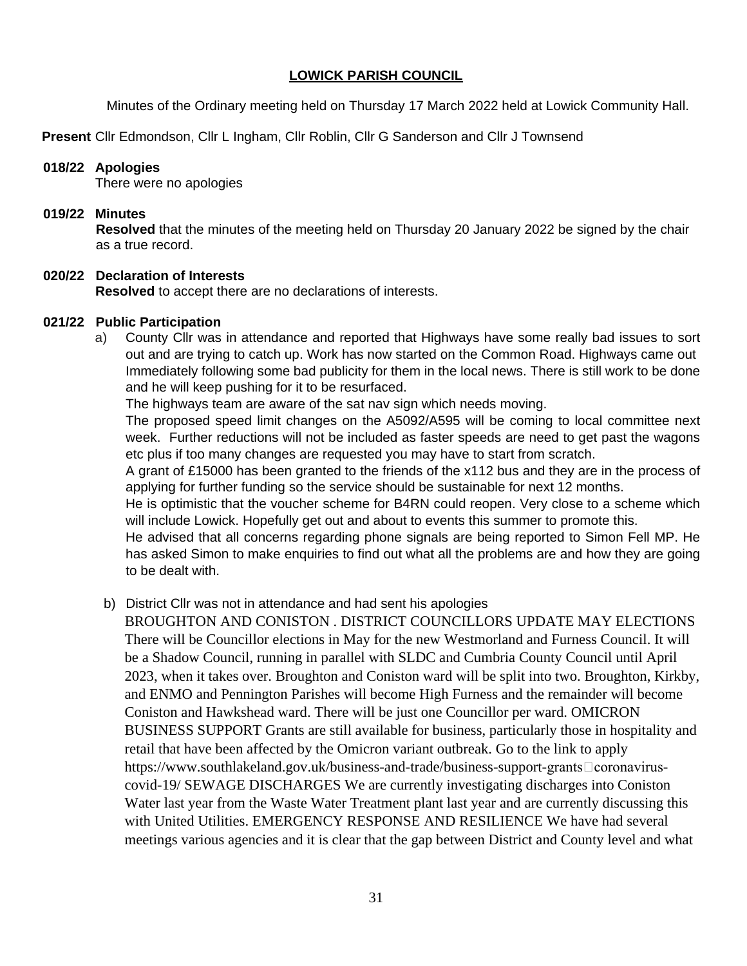## **LOWICK PARISH COUNCIL**

Minutes of the Ordinary meeting held on Thursday 17 March 2022 held at Lowick Community Hall.

**Present** Cllr Edmondson, Cllr L Ingham, Cllr Roblin, Cllr G Sanderson and Cllr J Townsend

#### **018/22 Apologies**

There were no apologies

#### **019/22 Minutes**

**Resolved** that the minutes of the meeting held on Thursday 20 January 2022 be signed by the chair as a true record.

# **020/22 Declaration of Interests**

**Resolved** to accept there are no declarations of interests.

#### **021/22 Public Participation**

a) County Cllr was in attendance and reported that Highways have some really bad issues to sort out and are trying to catch up. Work has now started on the Common Road. Highways came out Immediately following some bad publicity for them in the local news. There is still work to be done and he will keep pushing for it to be resurfaced.

The highways team are aware of the sat nav sign which needs moving.

The proposed speed limit changes on the A5092/A595 will be coming to local committee next week. Further reductions will not be included as faster speeds are need to get past the wagons etc plus if too many changes are requested you may have to start from scratch.

A grant of £15000 has been granted to the friends of the x112 bus and they are in the process of applying for further funding so the service should be sustainable for next 12 months.

He is optimistic that the voucher scheme for B4RN could reopen. Very close to a scheme which will include Lowick. Hopefully get out and about to events this summer to promote this.

He advised that all concerns regarding phone signals are being reported to Simon Fell MP. He has asked Simon to make enquiries to find out what all the problems are and how they are going to be dealt with.

# b) District Cllr was not in attendance and had sent his apologies

BROUGHTON AND CONISTON . DISTRICT COUNCILLORS UPDATE MAY ELECTIONS There will be Councillor elections in May for the new Westmorland and Furness Council. It will be a Shadow Council, running in parallel with SLDC and Cumbria County Council until April 2023, when it takes over. Broughton and Coniston ward will be split into two. Broughton, Kirkby, and ENMO and Pennington Parishes will become High Furness and the remainder will become Coniston and Hawkshead ward. There will be just one Councillor per ward. OMICRON BUSINESS SUPPORT Grants are still available for business, particularly those in hospitality and retail that have been affected by the Omicron variant outbreak. Go to the link to apply https://www.southlakeland.gov.uk/business-and-trade/business-support-grants $\Box$ coronaviruscovid-19/ SEWAGE DISCHARGES We are currently investigating discharges into Coniston Water last year from the Waste Water Treatment plant last year and are currently discussing this with United Utilities. EMERGENCY RESPONSE AND RESILIENCE We have had several meetings various agencies and it is clear that the gap between District and County level and what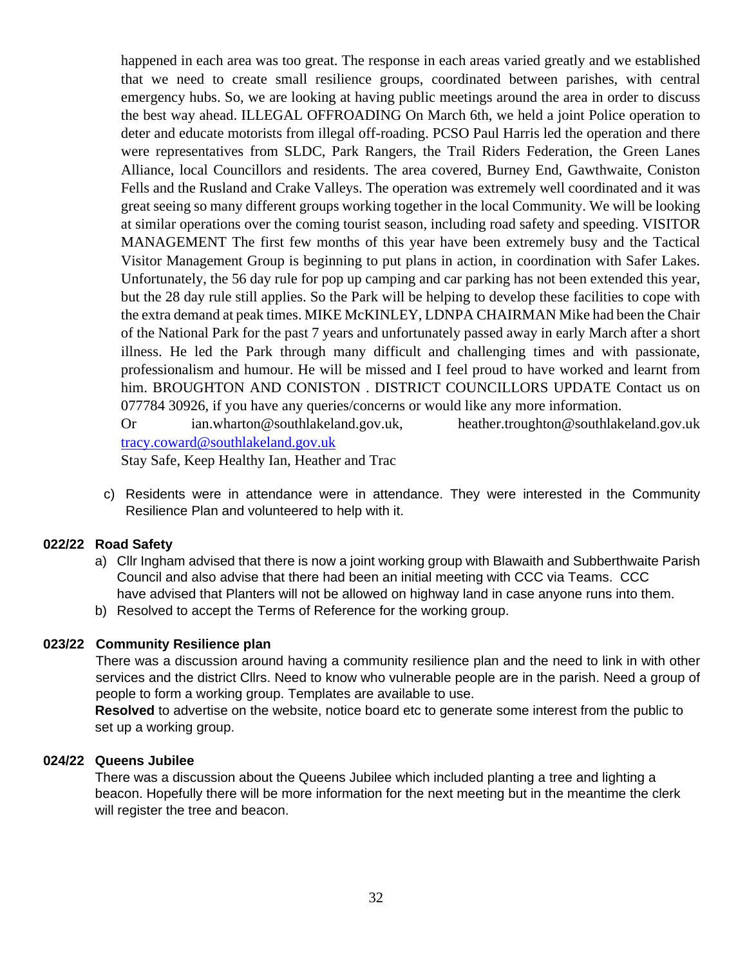happened in each area was too great. The response in each areas varied greatly and we established that we need to create small resilience groups, coordinated between parishes, with central emergency hubs. So, we are looking at having public meetings around the area in order to discuss the best way ahead. ILLEGAL OFFROADING On March 6th, we held a joint Police operation to deter and educate motorists from illegal off-roading. PCSO Paul Harris led the operation and there were representatives from SLDC, Park Rangers, the Trail Riders Federation, the Green Lanes Alliance, local Councillors and residents. The area covered, Burney End, Gawthwaite, Coniston Fells and the Rusland and Crake Valleys. The operation was extremely well coordinated and it was great seeing so many different groups working together in the local Community. We will be looking at similar operations over the coming tourist season, including road safety and speeding. VISITOR MANAGEMENT The first few months of this year have been extremely busy and the Tactical Visitor Management Group is beginning to put plans in action, in coordination with Safer Lakes. Unfortunately, the 56 day rule for pop up camping and car parking has not been extended this year, but the 28 day rule still applies. So the Park will be helping to develop these facilities to cope with the extra demand at peak times. MIKE McKINLEY, LDNPA CHAIRMAN Mike had been the Chair of the National Park for the past 7 years and unfortunately passed away in early March after a short illness. He led the Park through many difficult and challenging times and with passionate, professionalism and humour. He will be missed and I feel proud to have worked and learnt from him. BROUGHTON AND CONISTON . DISTRICT COUNCILLORS UPDATE Contact us on 077784 30926, if you have any queries/concerns or would like any more information.

Or ian.wharton@southlakeland.gov.uk, heather.troughton@southlakeland.gov.uk [tracy.coward@southlakeland.gov.uk](mailto:tracy.coward@southlakeland.gov.uk) Stay Safe, Keep Healthy Ian, Heather and Trac

c) Residents were in attendance were in attendance. They were interested in the Community Resilience Plan and volunteered to help with it.

#### **022/22 Road Safety**

- a) Cllr Ingham advised that there is now a joint working group with Blawaith and Subberthwaite Parish Council and also advise that there had been an initial meeting with CCC via Teams. CCC have advised that Planters will not be allowed on highway land in case anyone runs into them.
- b) Resolved to accept the Terms of Reference for the working group.

### **023/22 Community Resilience plan**

There was a discussion around having a community resilience plan and the need to link in with other services and the district Cllrs. Need to know who vulnerable people are in the parish. Need a group of people to form a working group. Templates are available to use.

**Resolved** to advertise on the website, notice board etc to generate some interest from the public to set up a working group.

#### **024/22 Queens Jubilee**

There was a discussion about the Queens Jubilee which included planting a tree and lighting a beacon. Hopefully there will be more information for the next meeting but in the meantime the clerk will register the tree and beacon.